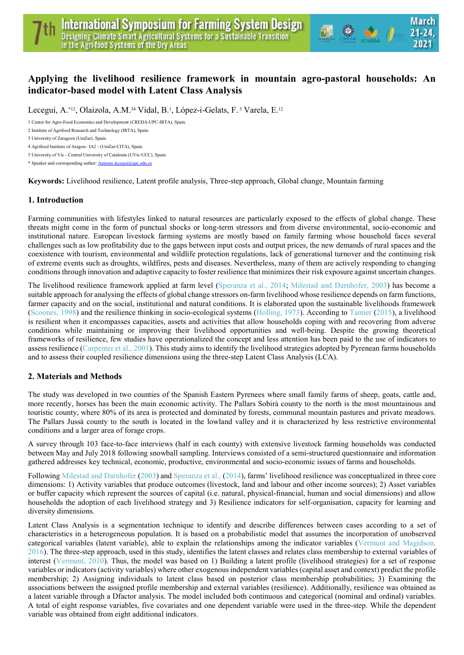# Applying the livelihood resilience framework in mountain agro-pastoral households: An indicator-based model with Latent Class Analysis

 $\bullet$   $\bullet$   $\prime$ 

Lecegui, A.\*<sup>12</sup>, Olaizola, A.M.<sup>34</sup> Vidal, B.<sup>1</sup>, López-i-Gelats, F.<sup>5</sup> Varela, E.<sup>12</sup>

1 Center for Agro-Food Economics and Development (CREDA-UPC-IRTA), Spain.

2 Institute of Agrifood Research and Technology (IRTA), Spain.

5 University of Vic - Central University of Catalonia (UVic-UCC), Spain.

\* Speaker and corresponding author: Antonio.lecegui@upc.edu.es

Keywords: Livelihood resilience, Latent profile analysis, Three-step approach, Global change, Mountain farming

#### 1. Introduction

Farming communities with lifestyles linked to natural resources are particularly exposed to the effects of global change. These threats might come in the form of punctual shocks or long-term stressors and from diverse environmental, socio-economic and institutional nature. European livestock farming systems are mostly based on family farming whose household faces several challenges such as low profitability due to the gaps between input costs and output prices, the new demands of rural spaces and the coexistence with tourism, environmental and wildlife protection regulations, lack of generational turnover and the continuing risk of extreme events such as droughts, wildfires, pests and diseases. Nevertheless, many of them are actively responding to changing conditions through innovation and adaptive capacity to foster resilience that minimizes their risk exposure against uncertain changes.

The livelihood resilience framework applied at farm level (Speranza et al., 2014; Milestad and Darnhofer, 2003) has become a suitable approach for analysing the effects of global change stressors on-farm livelihood whose resilience depends on farm functions, farmer capacity and on the social, institutional and natural conditions. It is elaborated upon the sustainable livelihoods framework (Scoones, 1998) and the resilience thinking in socio-ecological systems (Holling, 1973). According to Tanner (2015), a livelihood is resilient when it encompasses capacities, assets and activities that allow households coping with and recovering from adverse conditions while maintaining or improving their livelihood opportunities and well-being. Despite the growing theoretical frameworks of resilience, few studies have operationalized the concept and less attention has been paid to the use of indicators to assess resilience (Carpenter et al., 2001). This study aims to identify the livelihood strategies adopted by Pyrenean farms households and to assess their coupled resilience dimensions using the three-step Latent Class Analysis (LCA).

### 2. Materials and Methods

The study was developed in two counties of the Spanish Eastern Pyrenees where small family farms of sheep, goats, cattle and, more recently, horses has been the main economic activity. The Pallars Sobirà county to the north is the most mountainous and touristic county, where 80% of its area is protected and dominated by forests, communal mountain pastures and private meadows. The Pallars Jussà county to the south is located in the lowland valley and it is characterized by less restrictive environmental conditions and a larger area of forage crops.

A survey through 103 face-to-face interviews (half in each county) with extensive livestock farming households was conducted between May and July 2018 following snowball sampling. Interviews consisted of a semi-structured questionnaire and information gathered addresses key technical, economic, productive, environmental and socio-economic issues of farms and households.

Following Milestad and Darnhofer (2003) and Speranza et al., (2014), farms' livelihood resilience was conceptualized in three core dimensions: 1) Activity variables that produce outcomes (livestock, land and labour and other income sources); 2) Asset variables or buffer capacity which represent the sources of capital (i.e. natural, physical-financial, human and social dimensions) and allow households the adoption of each livelihood strategy and 3) Resilience indicators for self-organisation, capacity for learning and diversity dimensions.

Latent Class Analysis is a segmentation technique to identify and describe differences between cases according to a set of characteristics in a heterogeneous population. It is based on a probabilistic model that assumes the incorporation of unobserved categorical variables (latent variable), able to explain the relationships among the indicator variables (Vermunt and Magidson, 2016). The three-step approach, used in this study, identifies the latent classes and relates class membership to external variables of interest (Vermunt, 2010). Thus, the model was based on 1) Building a latent profile (livelihood strategies) for a set of response variables or indicators (activity variables) where other exogenous independent variables (capital asset and context) predict the profile membership; 2) Assigning individuals to latent class based on posterior class membership probabilities; 3) Examining the associations between the assigned profile membership and external variables (resilience). Additionally, resilience was obtained as a latent variable through a Dfactor analysis. The model included both continuous and categorical (nominal and ordinal) variables. A total of eight response variables, five covariates and one dependent variable were used in the three-step. While the dependent variable was obtained from eight additional indicators.

<sup>3</sup> University of Zaragoza (UniZar), Spain.

<sup>4</sup> Agrifood Institute of Aragon– IA2 - (UniZar-CITA), Spain.